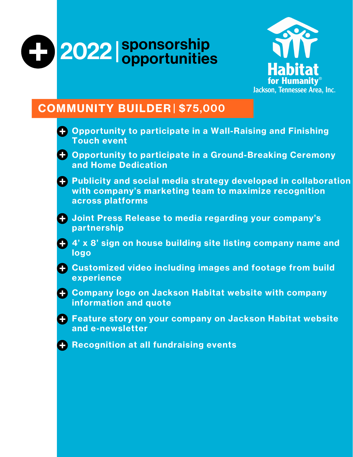# sponsorship 2022 Sponsorship<br>
opportunities



### COMMUNITY BUILDER | \$75,000

| O. | <b>Opportunity to participate in a Wall-Raising and Finishing</b><br><b>Touch event</b>                                                       |
|----|-----------------------------------------------------------------------------------------------------------------------------------------------|
| O. | <b>Opportunity to participate in a Ground-Breaking Ceremony</b><br>and Home Dedication                                                        |
|    | + Publicity and social media strategy developed in collaboration<br>with company's marketing team to maximize recognition<br>across platforms |
| O  | Joint Press Release to media regarding your company's<br>partnership                                                                          |
| O  | 4' x 8' sign on house building site listing company name and<br>logo                                                                          |
| O. | <b>Customized video including images and footage from build</b><br>experience                                                                 |
|    | + Company logo on Jackson Habitat website with company<br>information and quote                                                               |
|    | + Feature story on your company on Jackson Habitat website<br>and e-newsletter                                                                |
| O. | <b>Recognition at all fundraising events</b>                                                                                                  |
|    |                                                                                                                                               |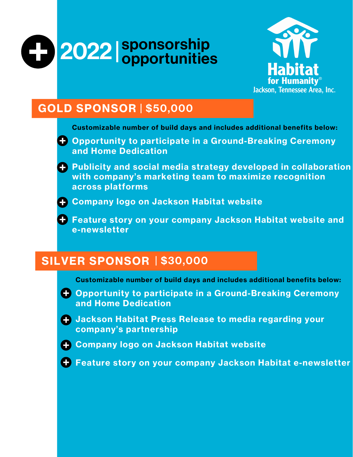



# GOLD SPONSOR | \$50,000

Customizable number of build days and includes additional benefits below:

- Opportunity to participate in a Ground-Breaking Ceremony and Home Dedication
- Publicity and social media strategy developed in collaboration with company's marketing team to maximize recognition across platforms
- 
- Company logo on Jackson Habitat website
	- **+ Feature story on your company Jackson Habitat website and** e-newsletter

# SILVER SPONSOR | \$30,000

Customizable number of build days and includes additional benefits below:

- Opportunity to participate in a Ground-Breaking Ceremony and Home Dedication
- Jackson Habitat Press Release to media regarding your company's partnership
- 
- Company logo on Jackson Habitat website
- Feature story on your company Jackson Habitat e-newsletter